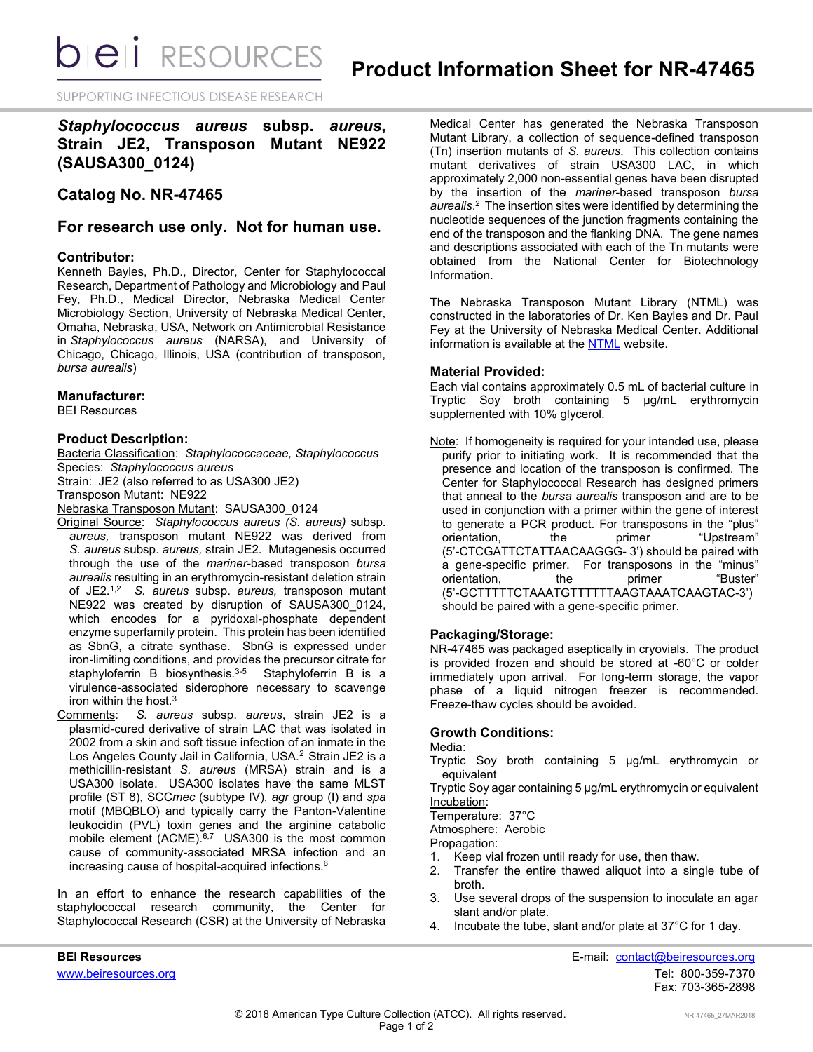*DIEI RESOURCES* 

SUPPORTING INFECTIOUS DISEASE RESEARCH

# *Staphylococcus aureus* **subsp.** *aureus***, Strain JE2, Transposon Mutant NE922 (SAUSA300\_0124)**

# **Catalog No. NR-47465**

## **For research use only. Not for human use.**

### **Contributor:**

Kenneth Bayles, Ph.D., Director, Center for Staphylococcal Research, Department of Pathology and Microbiology and Paul Fey, Ph.D., Medical Director, Nebraska Medical Center Microbiology Section, University of Nebraska Medical Center, Omaha, Nebraska, USA, Network on Antimicrobial Resistance in *Staphylococcus aureus* (NARSA), and University of Chicago, Chicago, Illinois, USA (contribution of transposon, *bursa aurealis*)

### **Manufacturer:**

BEI Resources

### **Product Description:**

Bacteria Classification: *Staphylococcaceae, Staphylococcus* Species: *Staphylococcus aureus* Strain: JE2 (also referred to as USA300 JE2)

Transposon Mutant: NE922

Nebraska Transposon Mutant: SAUSA300\_0124

- Original Source: *Staphylococcus aureus (S. aureus)* subsp. *aureus,* transposon mutant NE922 was derived from *S. aureus* subsp. *aureus,* strain JE2. Mutagenesis occurred through the use of the *mariner*-based transposon *bursa aurealis* resulting in an erythromycin-resistant deletion strain of JE2.1,2 *S. aureus* subsp. *aureus,* transposon mutant NE922 was created by disruption of SAUSA300\_0124, which encodes for a pyridoxal-phosphate dependent enzyme superfamily protein. This protein has been identified as SbnG, a citrate synthase. SbnG is expressed under iron-limiting conditions, and provides the precursor citrate for staphyloferrin B biosynthesis.<sup>3-5</sup> Staphyloferrin B is a virulence-associated siderophore necessary to scavenge iron within the host. $3$
- Comments: *S. aureus* subsp. *aureus*, strain JE2 is a plasmid-cured derivative of strain LAC that was isolated in 2002 from a skin and soft tissue infection of an inmate in the Los Angeles County Jail in California, USA.<sup>2</sup> Strain JE2 is a methicillin-resistant *S. aureus* (MRSA) strain and is a USA300 isolate. USA300 isolates have the same MLST profile (ST 8), SCC*mec* (subtype IV), *agr* group (I) and *spa*  motif (MBQBLO) and typically carry the Panton-Valentine leukocidin (PVL) toxin genes and the arginine catabolic mobile element (ACME).<sup>6,7</sup> USA300 is the most common cause of community-associated MRSA infection and an increasing cause of hospital-acquired infections.<sup>6</sup>

In an effort to enhance the research capabilities of the staphylococcal research community, the Center for Staphylococcal Research (CSR) at the University of Nebraska

Medical Center has generated the Nebraska Transposon Mutant Library, a collection of sequence-defined transposon (Tn) insertion mutants of *S. aureus*. This collection contains mutant derivatives of strain USA300 LAC, in which approximately 2,000 non-essential genes have been disrupted by the insertion of the *mariner*-based transposon *bursa*  aurealis.<sup>2</sup> The insertion sites were identified by determining the nucleotide sequences of the junction fragments containing the end of the transposon and the flanking DNA. The gene names and descriptions associated with each of the Tn mutants were obtained from the National Center for Biotechnology Information.

The Nebraska Transposon Mutant Library (NTML) was constructed in the laboratories of Dr. Ken Bayles and Dr. Paul Fey at the University of Nebraska Medical Center. Additional information is available at the [NTML](http://app1.unmc.edu/fgx/) website.

### **Material Provided:**

Each vial contains approximately 0.5 mL of bacterial culture in Tryptic Soy broth containing 5 µg/mL erythromycin supplemented with 10% glycerol.

Note: If homogeneity is required for your intended use, please purify prior to initiating work. It is recommended that the presence and location of the transposon is confirmed. The Center for Staphylococcal Research has designed primers that anneal to the *bursa aurealis* transposon and are to be used in conjunction with a primer within the gene of interest to generate a PCR product. For transposons in the "plus"<br>orientation, the primer "Upstream" orientation, the primer "Upstream" (5'-CTCGATTCTATTAACAAGGG- 3') should be paired with a gene-specific primer. For transposons in the "minus" orientation, the primer "Buster" (5'-GCTTTTTCTAAATGTTTTTTAAGTAAATCAAGTAC-3') should be paired with a gene-specific primer.

## **Packaging/Storage:**

NR-47465 was packaged aseptically in cryovials. The product is provided frozen and should be stored at -60°C or colder immediately upon arrival. For long-term storage, the vapor phase of a liquid nitrogen freezer is recommended. Freeze-thaw cycles should be avoided.

### **Growth Conditions:**

#### Media:

Tryptic Soy broth containing 5 µg/mL erythromycin or equivalent

Tryptic Soy agar containing 5 µg/mL erythromycin or equivalent Incubation:

Temperature: 37°C

Atmosphere: Aerobic

Propagation:

- 1. Keep vial frozen until ready for use, then thaw.
- 2. Transfer the entire thawed aliquot into a single tube of broth.
- 3. Use several drops of the suspension to inoculate an agar slant and/or plate.
- 4. Incubate the tube, slant and/or plate at 37°C for 1 day.

**BEI Resources** E-mail: [contact@beiresources.org](mailto:contact@beiresources.org) [www.beiresources.org](http://www.beiresources.org/)Tel: 800-359-7370 Fax: 703-365-2898